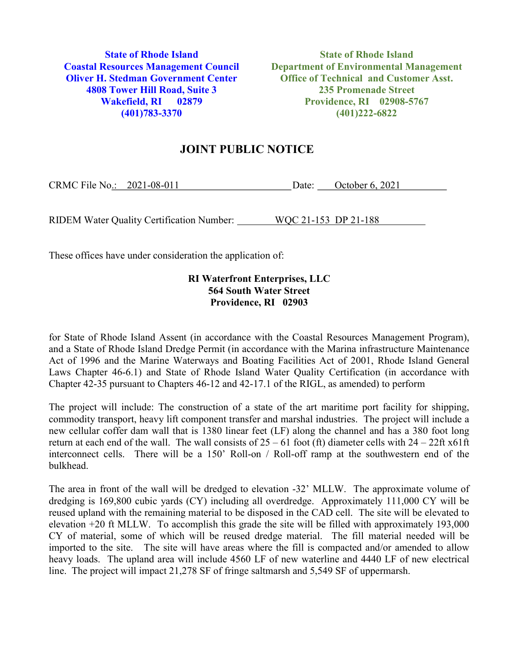4808 Tower Hill Road, Suite 3 235 Promenade Street

**State of Rhode Island State of Rhode Island** Coastal Resources Management Council Department of Environmental Management Oliver H. Stedman Government Center Office of Technical and Customer Asst. Wakefield, RI 02879 Providence, RI 02908-5767 (401)783-3370 (401)222-6822

## JOINT PUBLIC NOTICE

| CRMC File No.: | $2021 - 08 - 011$ | Date: | October 6, 2021 |
|----------------|-------------------|-------|-----------------|
|                |                   |       |                 |

RIDEM Water Quality Certification Number: WQC 21-153 DP 21-188

These offices have under consideration the application of:

## RI Waterfront Enterprises, LLC 564 South Water Street Providence, RI 02903

for State of Rhode Island Assent (in accordance with the Coastal Resources Management Program), and a State of Rhode Island Dredge Permit (in accordance with the Marina infrastructure Maintenance Act of 1996 and the Marine Waterways and Boating Facilities Act of 2001, Rhode Island General Laws Chapter 46-6.1) and State of Rhode Island Water Quality Certification (in accordance with Chapter 42-35 pursuant to Chapters 46-12 and 42-17.1 of the RIGL, as amended) to perform

The project will include: The construction of a state of the art maritime port facility for shipping, commodity transport, heavy lift component transfer and marshal industries. The project will include a new cellular coffer dam wall that is 1380 linear feet (LF) along the channel and has a 380 foot long return at each end of the wall. The wall consists of  $25 - 61$  foot (ft) diameter cells with  $24 - 22$ ft x61ft interconnect cells. There will be a 150' Roll-on / Roll-off ramp at the southwestern end of the bulkhead.

The area in front of the wall will be dredged to elevation -32' MLLW. The approximate volume of dredging is 169,800 cubic yards (CY) including all overdredge. Approximately 111,000 CY will be reused upland with the remaining material to be disposed in the CAD cell. The site will be elevated to elevation +20 ft MLLW. To accomplish this grade the site will be filled with approximately 193,000 CY of material, some of which will be reused dredge material. The fill material needed will be imported to the site. The site will have areas where the fill is compacted and/or amended to allow heavy loads. The upland area will include 4560 LF of new waterline and 4440 LF of new electrical line. The project will impact 21,278 SF of fringe saltmarsh and 5,549 SF of uppermarsh.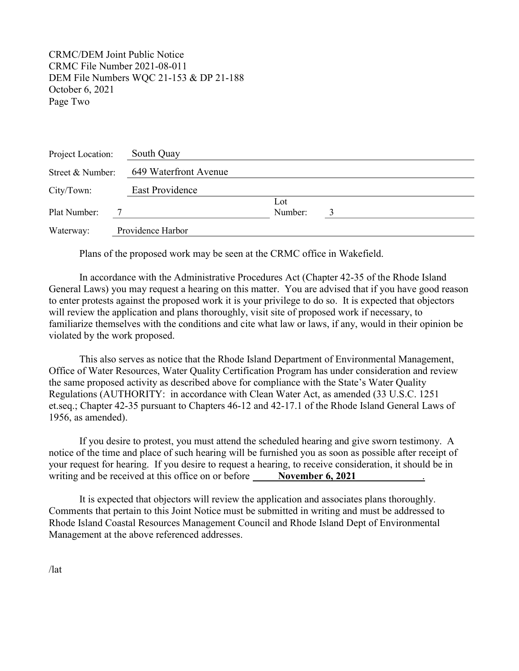CRMC/DEM Joint Public Notice CRMC File Number 2021-08-011 DEM File Numbers WQC 21-153 & DP 21-188 October 6, 2021 Page Two

| Project Location: | South Quay            |                |  |  |
|-------------------|-----------------------|----------------|--|--|
| Street & Number:  | 649 Waterfront Avenue |                |  |  |
| City/Town:        | East Providence       |                |  |  |
| Plat Number:      |                       | Lot<br>Number: |  |  |
| Waterway:         | Providence Harbor     |                |  |  |

Plans of the proposed work may be seen at the CRMC office in Wakefield.

In accordance with the Administrative Procedures Act (Chapter 42-35 of the Rhode Island General Laws) you may request a hearing on this matter. You are advised that if you have good reason to enter protests against the proposed work it is your privilege to do so. It is expected that objectors will review the application and plans thoroughly, visit site of proposed work if necessary, to familiarize themselves with the conditions and cite what law or laws, if any, would in their opinion be violated by the work proposed.

This also serves as notice that the Rhode Island Department of Environmental Management, Office of Water Resources, Water Quality Certification Program has under consideration and review the same proposed activity as described above for compliance with the State's Water Quality Regulations (AUTHORITY: in accordance with Clean Water Act, as amended (33 U.S.C. 1251 et.seq.; Chapter 42-35 pursuant to Chapters 46-12 and 42-17.1 of the Rhode Island General Laws of 1956, as amended).

If you desire to protest, you must attend the scheduled hearing and give sworn testimony. A notice of the time and place of such hearing will be furnished you as soon as possible after receipt of your request for hearing. If you desire to request a hearing, to receive consideration, it should be in writing and be received at this office on or before November 6, 2021

 It is expected that objectors will review the application and associates plans thoroughly. Comments that pertain to this Joint Notice must be submitted in writing and must be addressed to Rhode Island Coastal Resources Management Council and Rhode Island Dept of Environmental Management at the above referenced addresses.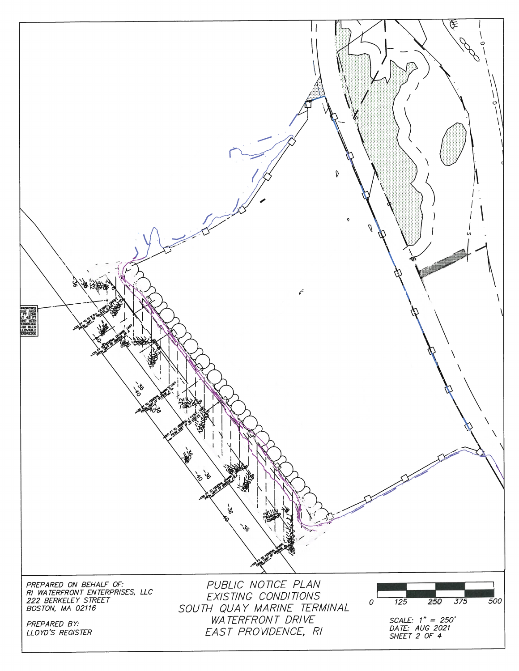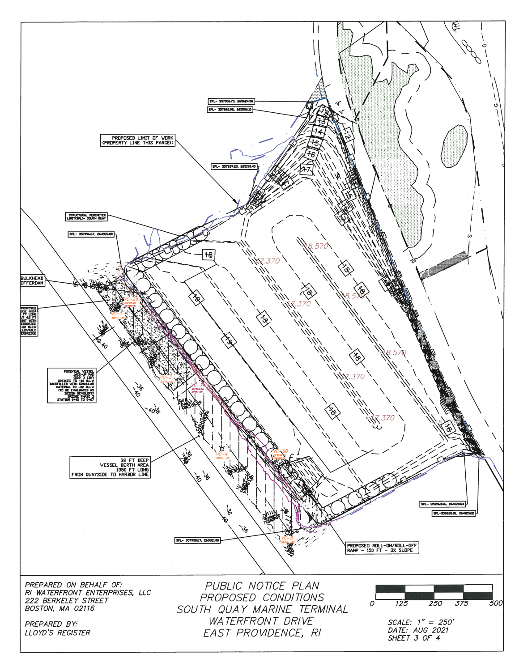